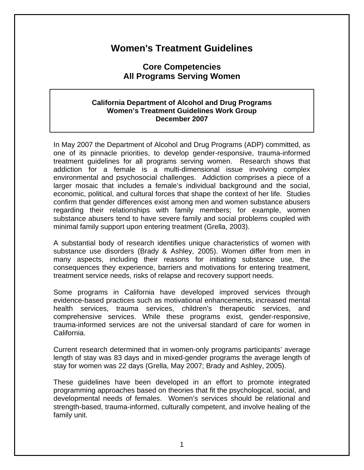# **Women's Treatment Guidelines**

## **Core Competencies All Programs Serving Women**

#### **California Department of Alcohol and Drug Programs Women's Treatment Guidelines Work Group December 2007**

In May 2007 the Department of Alcohol and Drug Programs (ADP) committed, as one of its pinnacle priorities, to develop gender-responsive, trauma-informed treatment guidelines for all programs serving women. Research shows that addiction for a female is a multi-dimensional issue involving complex environmental and psychosocial challenges. Addiction comprises a piece of a larger mosaic that includes a female's individual background and the social, economic, political, and cultural forces that shape the context of her life. Studies confirm that gender differences exist among men and women substance abusers regarding their relationships with family members; for example, women substance abusers tend to have severe family and social problems coupled with minimal family support upon entering treatment (Grella, 2003).

A substantial body of research identifies unique characteristics of women with substance use disorders (Brady & Ashley, 2005). Women differ from men in many aspects, including their reasons for initiating substance use, the consequences they experience, barriers and motivations for entering treatment, treatment service needs, risks of relapse and recovery support needs.

Some programs in California have developed improved services through evidence-based practices such as motivational enhancements, increased mental health services, trauma services, children's therapeutic services, and comprehensive services. While these programs exist, gender-responsive, trauma-informed services are not the universal standard of care for women in California.

Current research determined that in women-only programs participants' average length of stay was 83 days and in mixed-gender programs the average length of stay for women was 22 days (Grella, May 2007; Brady and Ashley, 2005).

These guidelines have been developed in an effort to promote integrated programming approaches based on theories that fit the psychological, social, and developmental needs of females. Women's services should be relational and strength-based, trauma-informed, culturally competent, and involve healing of the family unit.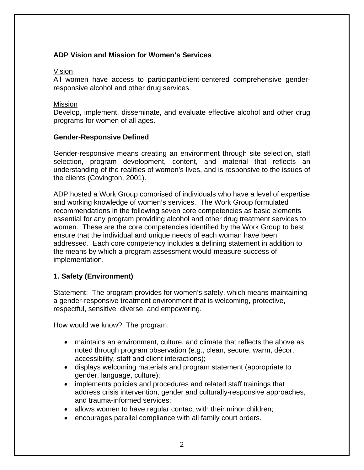## **ADP Vision and Mission for Women's Services**

#### Vision

All women have access to participant/client-centered comprehensive genderresponsive alcohol and other drug services.

#### Mission

Develop, implement, disseminate, and evaluate effective alcohol and other drug programs for women of all ages.

#### **Gender-Responsive Defined**

Gender-responsive means creating an environment through site selection, staff selection, program development, content, and material that reflects an understanding of the realities of women's lives, and is responsive to the issues of the clients (Covington, 2001).

ADP hosted a Work Group comprised of individuals who have a level of expertise and working knowledge of women's services. The Work Group formulated recommendations in the following seven core competencies as basic elements essential for any program providing alcohol and other drug treatment services to women. These are the core competencies identified by the Work Group to best ensure that the individual and unique needs of each woman have been addressed. Each core competency includes a defining statement in addition to the means by which a program assessment would measure success of implementation.

## **1. Safety (Environment)**

Statement: The program provides for women's safety, which means maintaining a gender-responsive treatment environment that is welcoming, protective, respectful, sensitive, diverse, and empowering.

How would we know? The program:

- maintains an environment, culture, and climate that reflects the above as noted through program observation (e.g., clean, secure, warm, décor, accessibility, staff and client interactions);
- displays welcoming materials and program statement (appropriate to gender, language, culture);
- implements policies and procedures and related staff trainings that address crisis intervention, gender and culturally-responsive approaches, and trauma-informed services;
- allows women to have regular contact with their minor children;
- encourages parallel compliance with all family court orders.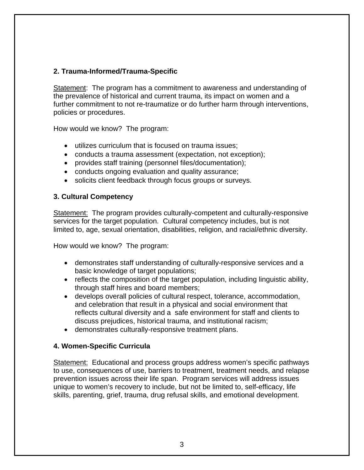## **2. Trauma-Informed/Trauma-Specific**

Statement: The program has a commitment to awareness and understanding of the prevalence of historical and current trauma, its impact on women and a further commitment to not re-traumatize or do further harm through interventions, policies or procedures.

How would we know? The program:

- utilizes curriculum that is focused on trauma issues;
- conducts a trauma assessment (expectation, not exception);
- provides staff training (personnel files/documentation);
- conducts ongoing evaluation and quality assurance;
- solicits client feedback through focus groups or surveys.

#### **3. Cultural Competency**

Statement: The program provides culturally-competent and culturally-responsive services for the target population. Cultural competency includes, but is not limited to, age, sexual orientation, disabilities, religion, and racial/ethnic diversity.

How would we know? The program:

- demonstrates staff understanding of culturally-responsive services and a basic knowledge of target populations;
- reflects the composition of the target population, including linguistic ability, through staff hires and board members;
- develops overall policies of cultural respect, tolerance, accommodation, and celebration that result in a physical and social environment that reflects cultural diversity and a safe environment for staff and clients to discuss prejudices, historical trauma, and institutional racism;
- demonstrates culturally-responsive treatment plans.

## **4. Women-Specific Curricula**

Statement: Educational and process groups address women's specific pathways to use, consequences of use, barriers to treatment, treatment needs, and relapse prevention issues across their life span. Program services will address issues unique to women's recovery to include, but not be limited to, self-efficacy, life skills, parenting, grief, trauma, drug refusal skills, and emotional development.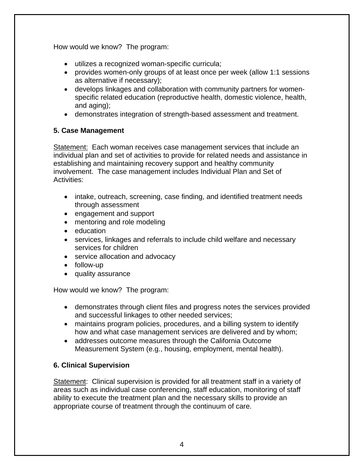How would we know? The program:

- utilizes a recognized woman-specific curricula;
- provides women-only groups of at least once per week (allow 1:1 sessions as alternative if necessary);
- develops linkages and collaboration with community partners for womenspecific related education (reproductive health, domestic violence, health, and aging);
- demonstrates integration of strength-based assessment and treatment.

## **5. Case Management**

Statement: Each woman receives case management services that include an individual plan and set of activities to provide for related needs and assistance in establishing and maintaining recovery support and healthy community involvement. The case management includes Individual Plan and Set of Activities:

- intake, outreach, screening, case finding, and identified treatment needs through assessment
- engagement and support
- mentoring and role modeling
- education
- services, linkages and referrals to include child welfare and necessary services for children
- service allocation and advocacy
- follow-up
- quality assurance

How would we know? The program:

- demonstrates through client files and progress notes the services provided and successful linkages to other needed services;
- maintains program policies, procedures, and a billing system to identify how and what case management services are delivered and by whom;
- addresses outcome measures through the California Outcome Measurement System (e.g., housing, employment, mental health).

## **6. Clinical Supervision**

Statement: Clinical supervision is provided for all treatment staff in a variety of areas such as individual case conferencing, staff education, monitoring of staff ability to execute the treatment plan and the necessary skills to provide an appropriate course of treatment through the continuum of care.